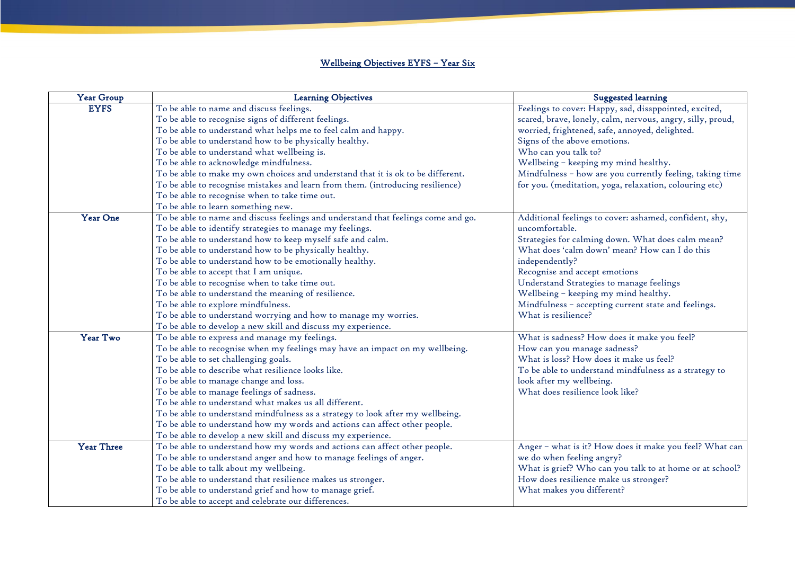## Wellbeing Objectives EYFS – Year Six

| <b>Year Group</b> | <b>Learning Objectives</b>                                                        | $S_{t}$                      |
|-------------------|-----------------------------------------------------------------------------------|------------------------------|
| <b>EYFS</b>       | To be able to name and discuss feelings.                                          | Feelings to cover: Hap       |
|                   | To be able to recognise signs of different feelings.                              | scared, brave, lonely,       |
|                   | To be able to understand what helps me to feel calm and happy.                    | worried, frightened, s       |
|                   | To be able to understand how to be physically healthy.                            | Signs of the above em        |
|                   | To be able to understand what wellbeing is.                                       | Who can you talk to?         |
|                   | To be able to acknowledge mindfulness.                                            | Wellbeing - keeping          |
|                   | To be able to make my own choices and understand that it is ok to be different.   | Mindfulness - how ar         |
|                   | To be able to recognise mistakes and learn from them. (introducing resilience)    | for you. (meditation,        |
|                   | To be able to recognise when to take time out.                                    |                              |
|                   | To be able to learn something new.                                                |                              |
| <b>Year One</b>   | To be able to name and discuss feelings and understand that feelings come and go. | Additional feelings to       |
|                   | To be able to identify strategies to manage my feelings.                          | uncomfortable.               |
|                   | To be able to understand how to keep myself safe and calm.                        | Strategies for calming       |
|                   | To be able to understand how to be physically healthy.                            | What does 'calm dow          |
|                   | To be able to understand how to be emotionally healthy.                           | independently?               |
|                   | To be able to accept that I am unique.                                            | Recognise and accept         |
|                   | To be able to recognise when to take time out.                                    | <b>Understand Strategies</b> |
|                   | To be able to understand the meaning of resilience.                               | Wellbeing - keeping          |
|                   | To be able to explore mindfulness.                                                | Mindfulness - accepti        |
|                   | To be able to understand worrying and how to manage my worries.                   | What is resilience?          |
|                   | To be able to develop a new skill and discuss my experience.                      |                              |
| Year Two          | To be able to express and manage my feelings.                                     | What is sadness? Hov         |
|                   | To be able to recognise when my feelings may have an impact on my wellbeing.      | How can you manage           |
|                   | To be able to set challenging goals.                                              | What is loss? How do         |
|                   | To be able to describe what resilience looks like.                                | To be able to understa       |
|                   | To be able to manage change and loss.                                             | look after my wellbei        |
|                   | To be able to manage feelings of sadness.                                         | What does resilience         |
|                   | To be able to understand what makes us all different.                             |                              |
|                   | To be able to understand mindfulness as a strategy to look after my wellbeing.    |                              |
|                   | To be able to understand how my words and actions can affect other people.        |                              |
|                   | To be able to develop a new skill and discuss my experience.                      |                              |
| <b>Year Three</b> | To be able to understand how my words and actions can affect other people.        | Anger – what is it? $H$      |
|                   | To be able to understand anger and how to manage feelings of anger.               | we do when feeling ar        |
|                   | To be able to talk about my wellbeing.                                            | What is grief? Who c         |
|                   | To be able to understand that resilience makes us stronger.                       | How does resilience n        |
|                   | To be able to understand grief and how to manage grief.                           | What makes you diff          |
|                   | To be able to accept and celebrate our differences.                               |                              |

## uggested learning

ppy, sad, disappointed, excited, calm, nervous, angry, silly, proud, safe, annoyed, delighted. notions.

my mind healthy.

re you currently feeling, taking time yoga, relaxation, colouring etc)

cover: ashamed, confident, shy,

t down. What does calm mean?  $\mathsf{wn}'$  mean? How can I do this

emotions

es to manage feelings

my mind healthy.

ing current state and feelings.

w does it make you feel? sadness? oes it make us feel? and mindfulness as a strategy to ng. look like?

Iow does it make you feel? What can ngry? can you talk to at home or at school? make us stronger?  $\epsilon$  erent?